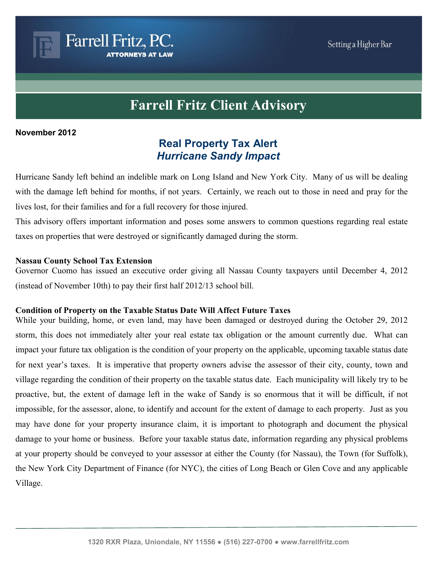# **Farrell Fritz Client Advisory**

#### **November 2012**

## **Real Property Tax Alert** *Hurricane Sandy Impact*

Hurricane Sandy left behind an indelible mark on Long Island and New York City. Many of us will be dealing with the damage left behind for months, if not years. Certainly, we reach out to those in need and pray for the lives lost, for their families and for a full recovery for those injured.

This advisory offers important information and poses some answers to common questions regarding real estate taxes on properties that were destroyed or significantly damaged during the storm.

#### **Nassau County School Tax Extension**

Farrell Fritz, P.C.

**ORNEYS AT LAW** 

Governor Cuomo has issued an executive order giving all Nassau County taxpayers until December 4, 2012 (instead of November 10th) to pay their first half 2012/13 school bill.

#### **Condition of Property on the Taxable Status Date Will Affect Future Taxes**

While your building, home, or even land, may have been damaged or destroyed during the October 29, 2012 storm, this does not immediately alter your real estate tax obligation or the amount currently due. What can impact your future tax obligation is the condition of your property on the applicable, upcoming taxable status date for next year's taxes. It is imperative that property owners advise the assessor of their city, county, town and village regarding the condition of their property on the taxable status date. Each municipality will likely try to be proactive, but, the extent of damage left in the wake of Sandy is so enormous that it will be difficult, if not impossible, for the assessor, alone, to identify and account for the extent of damage to each property. Just as you may have done for your property insurance claim, it is important to photograph and document the physical damage to your home or business. Before your taxable status date, information regarding any physical problems at your property should be conveyed to your assessor at either the County (for Nassau), the Town (for Suffolk), the New York City Department of Finance (for NYC), the cities of Long Beach or Glen Cove and any applicable Village.